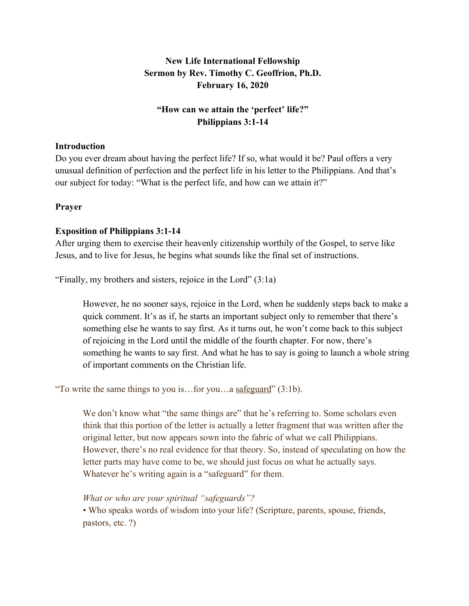# **New Life International Fellowship Sermon by Rev. Timothy C. Geoffrion, Ph.D. February 16, 2020**

# **"How can we attain the 'perfect' life?" Philippians 3:1-14**

#### **Introduction**

Do you ever dream about having the perfect life? If so, what would it be? Paul offers a very unusual definition of perfection and the perfect life in his letter to the Philippians. And that's our subject for today: "What is the perfect life, and how can we attain it?"

#### **Prayer**

### **Exposition of Philippians 3:1-14**

After urging them to exercise their heavenly citizenship worthily of the Gospel, to serve like Jesus, and to live for Jesus, he begins what sounds like the final set of instructions.

"Finally, my brothers and sisters, rejoice in the Lord" (3:1a)

However, he no sooner says, rejoice in the Lord, when he suddenly steps back to make a quick comment. It's as if, he starts an important subject only to remember that there's something else he wants to say first. As it turns out, he won't come back to this subject of rejoicing in the Lord until the middle of the fourth chapter. For now, there's something he wants to say first. And what he has to say is going to launch a whole string of important comments on the Christian life.

"To write the same things to you is…for you…a safeguard" (3:1b).

We don't know what "the same things are" that he's referring to. Some scholars even think that this portion of the letter is actually a letter fragment that was written after the original letter, but now appears sown into the fabric of what we call Philippians. However, there's no real evidence for that theory. So, instead of speculating on how the letter parts may have come to be, we should just focus on what he actually says. Whatever he's writing again is a "safeguard" for them.

#### *What or who are your spiritual "safeguards"?*

• Who speaks words of wisdom into your life? (Scripture, parents, spouse, friends, pastors, etc. ?)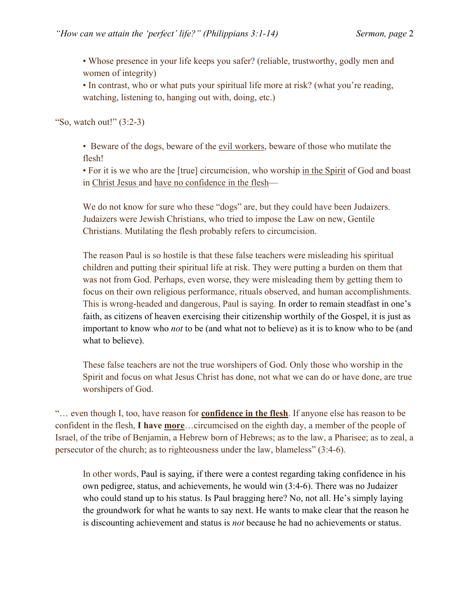• Whose presence in your life keeps you safer? (reliable, trustworthy, godly men and women of integrity)

• In contrast, who or what puts your spiritual life more at risk? (what you're reading, watching, listening to, hanging out with, doing, etc.)

"So, watch out!" (3:2-3)

• Beware of the dogs, beware of the evil workers, beware of those who mutilate the flesh!

• For it is we who are the [true] circumcision, who worship in the Spirit of God and boast in Christ Jesus and have no confidence in the flesh—

We do not know for sure who these "dogs" are, but they could have been Judaizers. Judaizers were Jewish Christians, who tried to impose the Law on new, Gentile Christians. Mutilating the flesh probably refers to circumcision.

The reason Paul is so hostile is that these false teachers were misleading his spiritual children and putting their spiritual life at risk. They were putting a burden on them that was not from God. Perhaps, even worse, they were misleading them by getting them to focus on their own religious performance, rituals observed, and human accomplishments. This is wrong-headed and dangerous, Paul is saying. In order to remain steadfast in one's faith, as citizens of heaven exercising their citizenship worthily of the Gospel, it is just as important to know who *not* to be (and what not to believe) as it is to know who to be (and what to believe).

These false teachers are not the true worshipers of God. Only those who worship in the Spirit and focus on what Jesus Christ has done, not what we can do or have done, are true worshipers of God.

"… even though I, too, have reason for **confidence in the flesh**. If anyone else has reason to be confident in the flesh, **I have more**…circumcised on the eighth day, a member of the people of Israel, of the tribe of Benjamin, a Hebrew born of Hebrews; as to the law, a Pharisee; as to zeal, a persecutor of the church; as to righteousness under the law, blameless" (3:4-6).

In other words, Paul is saying, if there were a contest regarding taking confidence in his own pedigree, status, and achievements, he would win (3:4-6). There was no Judaizer who could stand up to his status. Is Paul bragging here? No, not all. He's simply laying the groundwork for what he wants to say next. He wants to make clear that the reason he is discounting achievement and status is *not* because he had no achievements or status.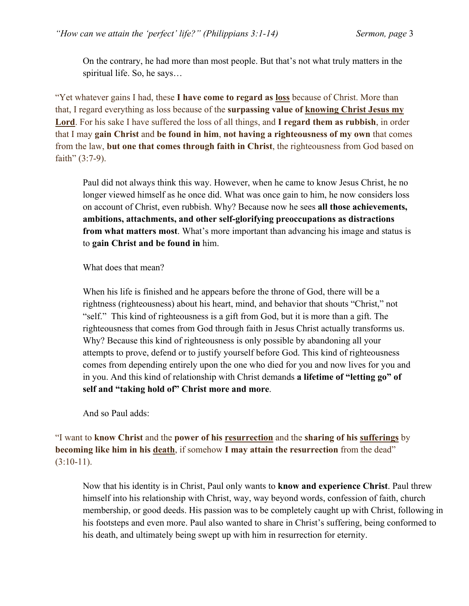On the contrary, he had more than most people. But that's not what truly matters in the spiritual life. So, he says…

"Yet whatever gains I had, these **I have come to regard as loss** because of Christ. More than that, I regard everything as loss because of the **surpassing value of knowing Christ Jesus my Lord**. For his sake I have suffered the loss of all things, and **I regard them as rubbish**, in order that I may **gain Christ** and **be found in him**, **not having a righteousness of my own** that comes from the law, **but one that comes through faith in Christ**, the righteousness from God based on faith"  $(3:7-9)$ .

Paul did not always think this way. However, when he came to know Jesus Christ, he no longer viewed himself as he once did. What was once gain to him, he now considers loss on account of Christ, even rubbish. Why? Because now he sees **all those achievements, ambitions, attachments, and other self-glorifying preoccupations as distractions from what matters most**. What's more important than advancing his image and status is to **gain Christ and be found in** him.

What does that mean?

When his life is finished and he appears before the throne of God, there will be a rightness (righteousness) about his heart, mind, and behavior that shouts "Christ," not "self." This kind of righteousness is a gift from God, but it is more than a gift. The righteousness that comes from God through faith in Jesus Christ actually transforms us. Why? Because this kind of righteousness is only possible by abandoning all your attempts to prove, defend or to justify yourself before God. This kind of righteousness comes from depending entirely upon the one who died for you and now lives for you and in you. And this kind of relationship with Christ demands **a lifetime of "letting go" of self and "taking hold of" Christ more and more**.

And so Paul adds:

"I want to **know Christ** and the **power of his resurrection** and the **sharing of his sufferings** by **becoming like him in his death**, if somehow **I may attain the resurrection** from the dead" (3:10-11).

Now that his identity is in Christ, Paul only wants to **know and experience Christ**. Paul threw himself into his relationship with Christ, way, way beyond words, confession of faith, church membership, or good deeds. His passion was to be completely caught up with Christ, following in his footsteps and even more. Paul also wanted to share in Christ's suffering, being conformed to his death, and ultimately being swept up with him in resurrection for eternity.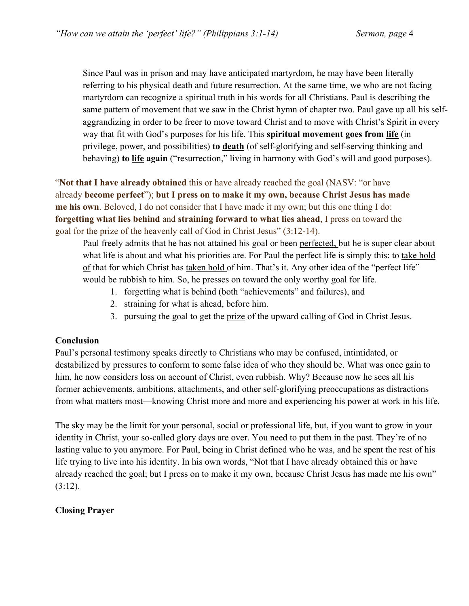Since Paul was in prison and may have anticipated martyrdom, he may have been literally referring to his physical death and future resurrection. At the same time, we who are not facing martyrdom can recognize a spiritual truth in his words for all Christians. Paul is describing the same pattern of movement that we saw in the Christ hymn of chapter two. Paul gave up all his selfaggrandizing in order to be freer to move toward Christ and to move with Christ's Spirit in every way that fit with God's purposes for his life. This **spiritual movement goes from life** (in privilege, power, and possibilities) **to death** (of self-glorifying and self-serving thinking and behaving) **to life again** ("resurrection," living in harmony with God's will and good purposes).

"**Not that I have already obtained** this or have already reached the goal (NASV: "or have already **become perfect**"); **but I press on to make it my own, because Christ Jesus has made me his own**. Beloved, I do not consider that I have made it my own; but this one thing I do: **forgetting what lies behind** and **straining forward to what lies ahead**, I press on toward the goal for the prize of the heavenly call of God in Christ Jesus" (3:12-14).

Paul freely admits that he has not attained his goal or been perfected, but he is super clear about what life is about and what his priorities are. For Paul the perfect life is simply this: to take hold of that for which Christ has taken hold of him. That's it. Any other idea of the "perfect life" would be rubbish to him. So, he presses on toward the only worthy goal for life.

- 1. forgetting what is behind (both "achievements" and failures), and
- 2. straining for what is ahead, before him.
- 3. pursuing the goal to get the prize of the upward calling of God in Christ Jesus.

### **Conclusion**

Paul's personal testimony speaks directly to Christians who may be confused, intimidated, or destabilized by pressures to conform to some false idea of who they should be. What was once gain to him, he now considers loss on account of Christ, even rubbish. Why? Because now he sees all his former achievements, ambitions, attachments, and other self-glorifying preoccupations as distractions from what matters most—knowing Christ more and more and experiencing his power at work in his life.

The sky may be the limit for your personal, social or professional life, but, if you want to grow in your identity in Christ, your so-called glory days are over. You need to put them in the past. They're of no lasting value to you anymore. For Paul, being in Christ defined who he was, and he spent the rest of his life trying to live into his identity. In his own words, "Not that I have already obtained this or have already reached the goal; but I press on to make it my own, because Christ Jesus has made me his own"  $(3:12)$ .

### **Closing Prayer**